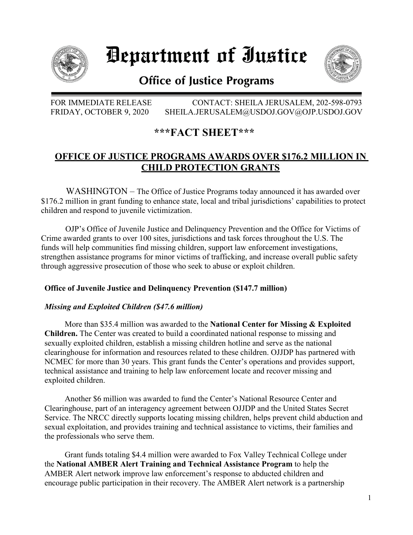

# Department of Iustice



## **Office of Justice Programs**

FOR IMMEDIATE RELEASE CONTACT: SHEILA JERUSALEM, 202-598-0793 FRIDAY, OCTOBER 9, 2020 SHEILA.JERUSALEM@USDOJ.GOV@OJP.USDOJ.GOV

## **\*\*\*FACT SHEET\*\*\***

### **OFFICE OF JUSTICE PROGRAMS AWARDS OVER \$176.2 MILLION IN CHILD PROTECTION GRANTS**

 WASHINGTON – The Office of Justice Programs today announced it has awarded over \$176.2 million in grant funding to enhance state, local and tribal jurisdictions' capabilities to protect children and respond to juvenile victimization.

OJP's Office of Juvenile Justice and Delinquency Prevention and the Office for Victims of Crime awarded grants to over 100 sites, jurisdictions and task forces throughout the U.S. The funds will help communities find missing children, support law enforcement investigations, strengthen assistance programs for minor victims of trafficking, and increase overall public safety through aggressive prosecution of those who seek to abuse or exploit children.

#### **Office of Juvenile Justice and Delinquency Prevention (\$147.7 million)**

#### *Missing and Exploited Children (\$47.6 million)*

More than \$35.4 million was awarded to the **National Center for Missing & Exploited Children.** The Center was created to build a coordinated national response to missing and sexually exploited children, establish a missing children hotline and serve as the national clearinghouse for information and resources related to these children. OJJDP has partnered with NCMEC for more than 30 years. This grant funds the Center's operations and provides support, technical assistance and training to help law enforcement locate and recover missing and exploited children.

Another \$6 million was awarded to fund the Center's National Resource Center and Clearinghouse, part of an interagency agreement between OJJDP and the United States Secret Service. The NRCC directly supports locating missing children, helps prevent child abduction and sexual exploitation, and provides training and technical assistance to victims, their families and the professionals who serve them.

Grant funds totaling \$4.4 million were awarded to Fox Valley Technical College under the **National AMBER Alert Training and Technical Assistance Program** to help the AMBER Alert network improve law enforcement's response to abducted children and encourage public participation in their recovery. The AMBER Alert network is a partnership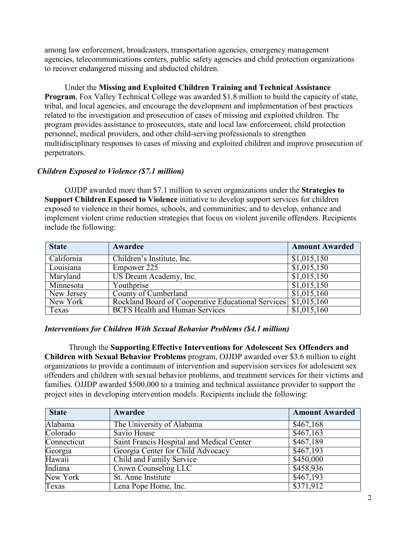among law enforcement, broadcasters, transportation agencies, emergency management agencies, telecommunications centers, public safety agencies and child protection organizations to recover endangered missing and abducted children.

Under the **Missing and Exploited Children Training and Technical Assistance Program**, Fox Valley Technical College was awarded \$1.8 million to build the capacity of state, tribal, and local agencies, and encourage the development and implementation of best practices related to the investigation and prosecution of cases of missing and exploited children. The program provides assistance to prosecutors, state and local law enforcement, child protection personnel, medical providers, and other child-serving professionals to strengthen multidisciplinary responses to cases of missing and exploited children and improve prosecution of perpetrators.

#### *Children Exposed to Violence (\$7.1 million)*

OJJDP awarded more than \$7.1 million to seven organizations under the **Strategies to Support Children Exposed to Violence** initiative to develop support services for children exposed to violence in their homes, schools, and communities; and to develop, enhance and implement violent crime reduction strategies that focus on violent juvenile offenders. Recipients include the following:

| <b>State</b> | Awardee                                                          | <b>Amount Awarded</b> |
|--------------|------------------------------------------------------------------|-----------------------|
| California   | Children's Institute, Inc.                                       | \$1,015,150           |
| Louisiana    | Empower 225                                                      | \$1,015,150           |
| Maryland     | US Dream Academy, Inc.                                           | \$1,015,150           |
| Minnesota    | Youthprise                                                       | \$1,015,150           |
| New Jersey   | County of Cumberland                                             | \$1,015,160           |
| New York     | Rockland Board of Cooperative Educational Services \ \$1,015,160 |                       |
| Texas        | <b>BCFS Health and Human Services</b>                            | \$1,015,160           |

#### *Interventions for Children With Sexual Behavior Problems (\$4.1 million)*

Through the **Supporting Effective Interventions for Adolescent Sex Offenders and Children with Sexual Behavior Problems** program, OJJDP awarded over \$3.6 million to eight organizations to provide a continuum of intervention and supervision services for adolescent sex offenders and children with sexual behavior problems, and treatment services for their victims and families. OJJDP awarded \$500,000 to a training and technical assistance provider to support the project sites in developing intervention models. Recipients include the following:

| <b>State</b> | Awardee                                   | <b>Amount Awarded</b> |
|--------------|-------------------------------------------|-----------------------|
| Alabama      | The University of Alabama                 | \$467,168             |
| Colorado     | Savio House                               | \$467,163             |
| Connecticut  | Saint Francis Hospital and Medical Center | \$467,189             |
| Georgia      | Georgia Center for Child Advocacy         | \$467,193             |
| Hawaii       | Child and Family Service                  | \$450,000             |
| Indiana      | Crown Counseling LLC                      | \$458,936             |
| New York     | St. Anne Institute                        | \$467,193             |
| Texas        | Lena Pope Home, Inc.                      | \$371,912             |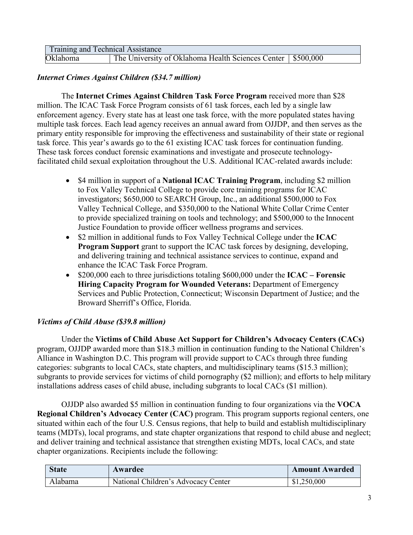| Training and Technical Assistance |                                                               |  |
|-----------------------------------|---------------------------------------------------------------|--|
| Oklahoma                          | The University of Oklahoma Health Sciences Center   \$500,000 |  |

#### *Internet Crimes Against Children (\$34.7 million)*

The **Internet Crimes Against Children Task Force Program** received more than \$28 million. The ICAC Task Force Program consists of 61 task forces, each led by a single law enforcement agency. Every state has at least one task force, with the more populated states having multiple task forces. Each lead agency receives an annual award from OJJDP, and then serves as the primary entity responsible for improving the effectiveness and sustainability of their state or regional task force. This year's awards go to the 61 existing ICAC task forces for continuation funding. These task forces conduct forensic examinations and investigate and prosecute technologyfacilitated child sexual exploitation throughout the U.S. Additional ICAC-related awards include:

- \$4 million in support of a **National ICAC Training Program**, including \$2 million to Fox Valley Technical College to provide core training programs for ICAC investigators; \$650,000 to SEARCH Group, Inc., an additional \$500,000 to Fox Valley Technical College, and \$350,000 to the National White Collar Crime Center to provide specialized training on tools and technology; and \$500,000 to the Innocent Justice Foundation to provide officer wellness programs and services.
- \$2 million in additional funds to Fox Valley Technical College under the **ICAC Program Support** grant to support the ICAC task forces by designing, developing, and delivering training and technical assistance services to continue, expand and enhance the ICAC Task Force Program.
- \$200,000 each to three jurisdictions totaling \$600,000 under the **ICAC Forensic Hiring Capacity Program for Wounded Veterans:** Department of Emergency Services and Public Protection, Connecticut; Wisconsin Department of Justice; and the Broward Sherriff's Office, Florida.

#### *Victims of Child Abuse (\$39.8 million)*

Under the **Victims of Child Abuse Act Support for Children's Advocacy Centers (CACs)**  program, OJJDP awarded more than \$18.3 million in continuation funding to the National Children's Alliance in Washington D.C. This program will provide support to CACs through three funding categories: subgrants to local CACs, state chapters, and multidisciplinary teams (\$15.3 million); subgrants to provide services for victims of child pornography (\$2 million); and efforts to help military installations address cases of child abuse, including subgrants to local CACs (\$1 million).

OJJDP also awarded \$5 million in continuation funding to four organizations via the **VOCA Regional Children's Advocacy Center (CAC)** program. This program supports regional centers, one situated within each of the four U.S. Census regions, that help to build and establish multidisciplinary teams (MDTs), local programs, and state chapter organizations that respond to child abuse and neglect; and deliver training and technical assistance that strengthen existing MDTs, local CACs, and state chapter organizations. Recipients include the following:

| <b>State</b> | Awardee                             | <b>Amount Awarded</b> |
|--------------|-------------------------------------|-----------------------|
| Alabama      | National Children's Advocacy Center | \$1,250,000           |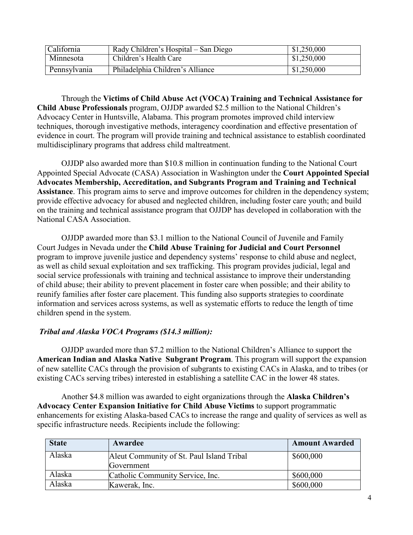| California   | Rady Children's Hospital – San Diego | \$1,250,000 |
|--------------|--------------------------------------|-------------|
| Minnesota    | Children's Health Care               | \$1,250,000 |
| Pennsylvania | Philadelphia Children's Alliance     | \$1,250,000 |

Through the **Victims of Child Abuse Act (VOCA) Training and Technical Assistance for Child Abuse Professionals** program, OJJDP awarded \$2.5 million to the National Children's Advocacy Center in Huntsville, Alabama. This program promotes improved child interview techniques, thorough investigative methods, interagency coordination and effective presentation of evidence in court. The program will provide training and technical assistance to establish coordinated multidisciplinary programs that address child maltreatment.

OJJDP also awarded more than \$10.8 million in continuation funding to the National Court Appointed Special Advocate (CASA) Association in Washington under the **Court Appointed Special Advocates Membership, Accreditation, and Subgrants Program and Training and Technical Assistance**. This program aims to serve and improve outcomes for children in the dependency system; provide effective advocacy for abused and neglected children, including foster care youth; and build on the training and technical assistance program that OJJDP has developed in collaboration with the National CASA Association.

OJJDP awarded more than \$3.1 million to the National Council of Juvenile and Family Court Judges in Nevada under the **Child Abuse Training for Judicial and Court Personnel**  program to improve juvenile justice and dependency systems' response to child abuse and neglect, as well as child sexual exploitation and sex trafficking. This program provides judicial, legal and social service professionals with training and technical assistance to improve their understanding of child abuse; their ability to prevent placement in foster care when possible; and their ability to reunify families after foster care placement. This funding also supports strategies to coordinate information and services across systems, as well as systematic efforts to reduce the length of time children spend in the system.

#### *Tribal and Alaska VOCA Programs (\$14.3 million):*

OJJDP awarded more than \$7.2 million to the National Children's Alliance to support the **American Indian and Alaska Native Subgrant Program**. This program will support the expansion of new satellite CACs through the provision of subgrants to existing CACs in Alaska, and to tribes (or existing CACs serving tribes) interested in establishing a satellite CAC in the lower 48 states.

Another \$4.8 million was awarded to eight organizations through the **Alaska Children's Advocacy Center Expansion Initiative for Child Abuse Victims** to support programmatic enhancements for existing Alaska-based CACs to increase the range and quality of services as well as specific infrastructure needs. Recipients include the following:

| <b>State</b> | Awardee                                    | <b>Amount Awarded</b> |
|--------------|--------------------------------------------|-----------------------|
| Alaska       | A leut Community of St. Paul Island Tribal | \$600,000             |
|              | Government                                 |                       |
| Alaska       | Catholic Community Service, Inc.           | \$600,000             |
| Alaska       | Kawerak, Inc.                              | \$600,000             |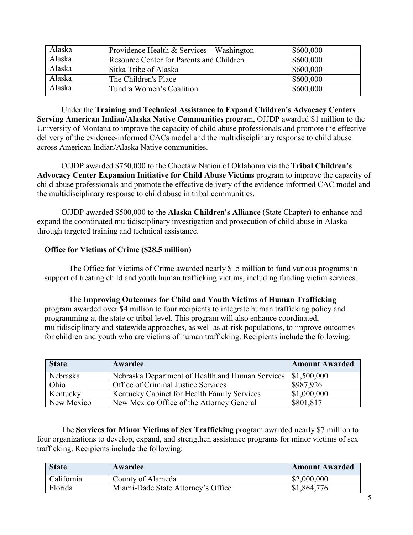| Alaska | Providence Health $&$ Services – Washington | \$600,000 |
|--------|---------------------------------------------|-----------|
| Alaska | Resource Center for Parents and Children    | \$600,000 |
| Alaska | Sitka Tribe of Alaska                       | \$600,000 |
| Alaska | The Children's Place                        | \$600,000 |
| Alaska | Tundra Women's Coalition                    | \$600,000 |

Under the **Training and Technical Assistance to Expand Children's Advocacy Centers Serving American Indian/Alaska Native Communities** program, OJJDP awarded \$1 million to the University of Montana to improve the capacity of child abuse professionals and promote the effective delivery of the evidence-informed CACs model and the multidisciplinary response to child abuse across American Indian/Alaska Native communities.

OJJDP awarded \$750,000 to the Choctaw Nation of Oklahoma via the **Tribal Children's Advocacy Center Expansion Initiative for Child Abuse Victims** program to improve the capacity of child abuse professionals and promote the effective delivery of the evidence-informed CAC model and the multidisciplinary response to child abuse in tribal communities.

OJJDP awarded \$500,000 to the **Alaska Children's Alliance** (State Chapter) to enhance and expand the coordinated multidisciplinary investigation and prosecution of child abuse in Alaska through targeted training and technical assistance.

#### **Office for Victims of Crime (\$28.5 million)**

The Office for Victims of Crime awarded nearly \$15 million to fund various programs in support of treating child and youth human trafficking victims, including funding victim services.

#### The **Improving Outcomes for Child and Youth Victims of Human Trafficking**  program awarded over \$4 million to four recipients to integrate human trafficking policy and programming at the state or tribal level. This program will also enhance coordinated, multidisciplinary and statewide approaches, as well as at-risk populations, to improve outcomes for children and youth who are victims of human trafficking. Recipients include the following:

| <b>State</b> | Awardee                                          | <b>Amount Awarded</b> |
|--------------|--------------------------------------------------|-----------------------|
| Nebraska     | Nebraska Department of Health and Human Services | \$1,500,000           |
| Ohio         | Office of Criminal Justice Services              | \$987,926             |
| Kentucky     | Kentucky Cabinet for Health Family Services      | \$1,000,000           |
| New Mexico   | New Mexico Office of the Attorney General        | \$801,817             |

The **Services for Minor Victims of Sex Trafficking** program awarded nearly \$7 million to four organizations to develop, expand, and strengthen assistance programs for minor victims of sex trafficking. Recipients include the following:

| <b>State</b> | Awardee                            | <b>Amount Awarded</b> |
|--------------|------------------------------------|-----------------------|
| California   | County of Alameda                  | \$2,000,000           |
| Florida      | Miami-Dade State Attorney's Office | \$1,864,776           |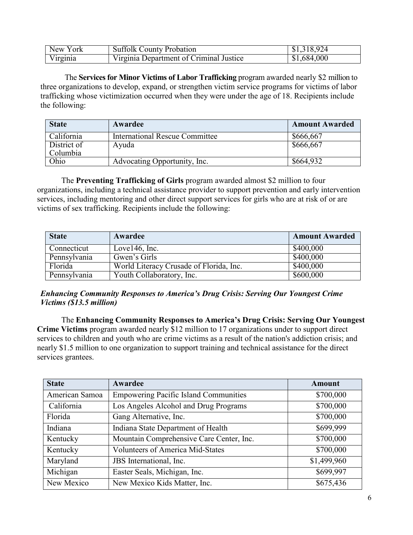| New York | <b>Suffolk County Probation</b>         | \$1,318,924 |
|----------|-----------------------------------------|-------------|
| Virginia | Virginia Department of Criminal Justice | \$1,684,000 |

The **Services for Minor Victims of Labor Trafficking** program awarded nearly \$2 million to three organizations to develop, expand, or strengthen victim service programs for victims of labor trafficking whose victimization occurred when they were under the age of 18. Recipients include the following:

| <b>State</b>            | Awardee                        | <b>Amount Awarded</b> |
|-------------------------|--------------------------------|-----------------------|
| California              | International Rescue Committee | \$666,667             |
| District of<br>Columbia | Ayuda                          | \$666,667             |
| Ohio                    | Advocating Opportunity, Inc.   | \$664,932             |

The **Preventing Trafficking of Girls** program awarded almost \$2 million to four organizations, including a technical assistance provider to support prevention and early intervention services, including mentoring and other direct support services for girls who are at risk of or are victims of sex trafficking. Recipients include the following:

| <b>State</b> | Awardee                                 | <b>Amount Awarded</b> |
|--------------|-----------------------------------------|-----------------------|
| Connecticut  | Love $146$ , Inc.                       | \$400,000             |
| Pennsylvania | Gwen's Girls                            | \$400,000             |
| Florida      | World Literacy Crusade of Florida, Inc. | \$400,000             |
| Pennsylvania | Youth Collaboratory, Inc.               | \$600,000             |

#### *Enhancing Community Responses to America's Drug Crisis: Serving Our Youngest Crime Victims (\$13.5 million)*

The **Enhancing Community Responses to America's Drug Crisis: Serving Our Youngest Crime Victims** program awarded nearly \$12 million to 17 organizations under to support direct services to children and youth who are crime victims as a result of the nation's addiction crisis; and nearly \$1.5 million to one organization to support training and technical assistance for the direct services grantees.

| <b>State</b>   | Awardee                                      | <b>Amount</b> |
|----------------|----------------------------------------------|---------------|
| American Samoa | <b>Empowering Pacific Island Communities</b> | \$700,000     |
| California     | Los Angeles Alcohol and Drug Programs        | \$700,000     |
| Florida        | Gang Alternative, Inc.                       | \$700,000     |
| Indiana        | Indiana State Department of Health           | \$699,999     |
| Kentucky       | Mountain Comprehensive Care Center, Inc.     | \$700,000     |
| Kentucky       | <b>Volunteers of America Mid-States</b>      | \$700,000     |
| Maryland       | JBS International, Inc.                      | \$1,499,960   |
| Michigan       | Easter Seals, Michigan, Inc.                 | \$699,997     |
| New Mexico     | New Mexico Kids Matter, Inc.                 | \$675,436     |